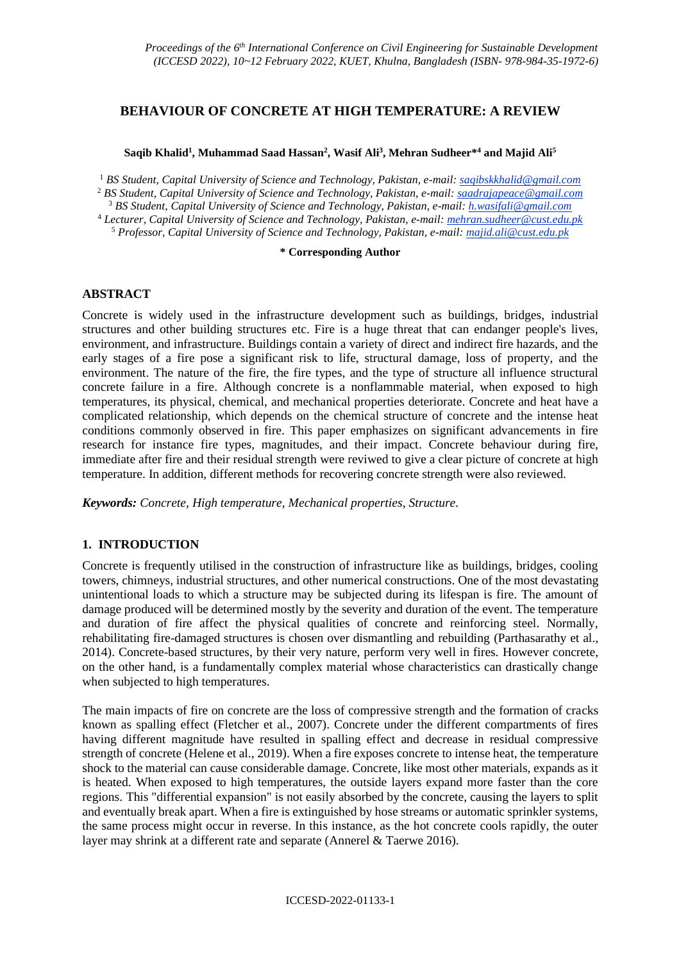# **BEHAVIOUR OF CONCRETE AT HIGH TEMPERATURE: A REVIEW**

### **Saqib Khalid<sup>1</sup> , Muhammad Saad Hassan<sup>2</sup> , Wasif Ali<sup>3</sup> , Mehran Sudheer\* <sup>4</sup> and Majid Ali<sup>5</sup>**

<sup>1</sup> *BS Student, Capital University of Science and Technology, Pakistan, e-mail: saqibskkhalid@gmail.com*

<sup>2</sup> *BS Student, Capital University of Science and Technology, Pakistan, e-mail: saadrajapeace@gmail.com*

<sup>3</sup> *BS Student, Capital University of Science and Technology, Pakistan, e-mail: h.wasifali@gmail.com*

<sup>4</sup> *Lecturer, Capital University of Science and Technology, Pakistan, e-mail: mehran.sudheer@cust.edu.pk* <sup>5</sup> *Professor, Capital University of Science and Technology, Pakistan, e-mail: majid.ali@cust.edu.pk*

#### **\* Corresponding Author**

# **ABSTRACT**

Concrete is widely used in the infrastructure development such as buildings, bridges, industrial structures and other building structures etc. Fire is a huge threat that can endanger people's lives, environment, and infrastructure. Buildings contain a variety of direct and indirect fire hazards, and the early stages of a fire pose a significant risk to life, structural damage, loss of property, and the environment. The nature of the fire, the fire types, and the type of structure all influence structural concrete failure in a fire. Although concrete is a nonflammable material, when exposed to high temperatures, its physical, chemical, and mechanical properties deteriorate. Concrete and heat have a complicated relationship, which depends on the chemical structure of concrete and the intense heat conditions commonly observed in fire. This paper emphasizes on significant advancements in fire research for instance fire types, magnitudes, and their impact. Concrete behaviour during fire, immediate after fire and their residual strength were reviwed to give a clear picture of concrete at high temperature. In addition, different methods for recovering concrete strength were also reviewed.

*Keywords: Concrete, High temperature, Mechanical properties, Structure.*

# **1. INTRODUCTION**

Concrete is frequently utilised in the construction of infrastructure like as buildings, bridges, cooling towers, chimneys, industrial structures, and other numerical constructions. One of the most devastating unintentional loads to which a structure may be subjected during its lifespan is fire. The amount of damage produced will be determined mostly by the severity and duration of the event. The temperature and duration of fire affect the physical qualities of concrete and reinforcing steel. Normally, rehabilitating fire-damaged structures is chosen over dismantling and rebuilding (Parthasarathy et al., 2014). Concrete-based structures, by their very nature, perform very well in fires. However concrete, on the other hand, is a fundamentally complex material whose characteristics can drastically change when subjected to high temperatures.

The main impacts of fire on concrete are the loss of compressive strength and the formation of cracks known as spalling effect (Fletcher et al., 2007). Concrete under the different compartments of fires having different magnitude have resulted in spalling effect and decrease in residual compressive strength of concrete (Helene et al., 2019). When a fire exposes concrete to intense heat, the temperature shock to the material can cause considerable damage. Concrete, like most other materials, expands as it is heated. When exposed to high temperatures, the outside layers expand more faster than the core regions. This "differential expansion" is not easily absorbed by the concrete, causing the layers to split and eventually break apart. When a fire is extinguished by hose streams or automatic sprinkler systems, the same process might occur in reverse. In this instance, as the hot concrete cools rapidly, the outer layer may shrink at a different rate and separate (Annerel & Taerwe 2016).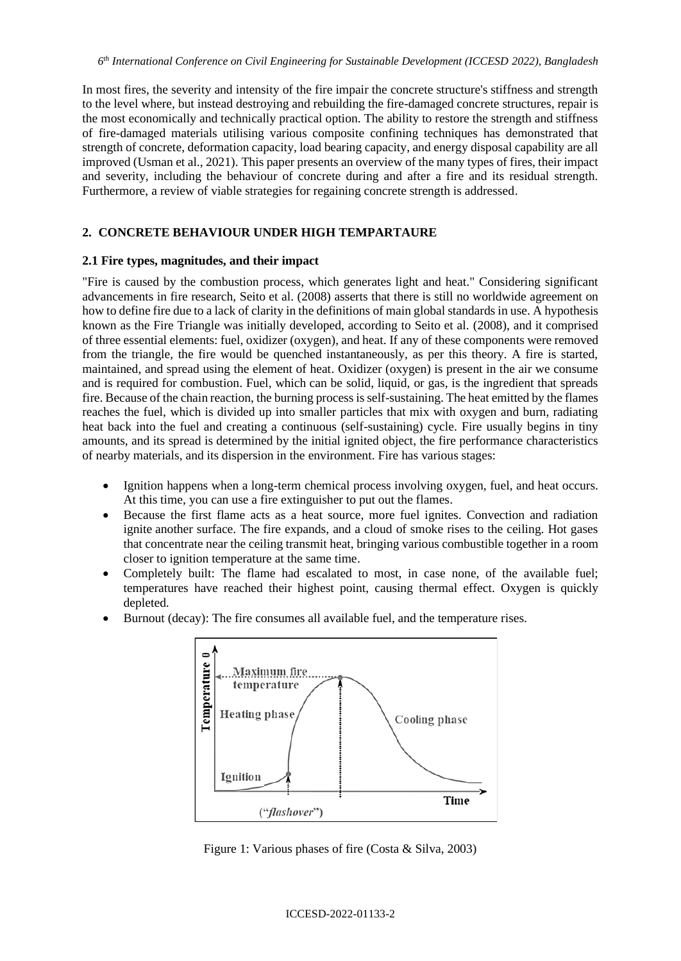In most fires, the severity and intensity of the fire impair the concrete structure's stiffness and strength to the level where, but instead destroying and rebuilding the fire-damaged concrete structures, repair is the most economically and technically practical option. The ability to restore the strength and stiffness of fire-damaged materials utilising various composite confining techniques has demonstrated that strength of concrete, deformation capacity, load bearing capacity, and energy disposal capability are all improved (Usman et al., 2021). This paper presents an overview of the many types of fires, their impact and severity, including the behaviour of concrete during and after a fire and its residual strength. Furthermore, a review of viable strategies for regaining concrete strength is addressed.

### **2. CONCRETE BEHAVIOUR UNDER HIGH TEMPARTAURE**

#### **2.1 Fire types, magnitudes, and their impact**

"Fire is caused by the combustion process, which generates light and heat." Considering significant advancements in fire research, Seito et al. (2008) asserts that there is still no worldwide agreement on how to define fire due to a lack of clarity in the definitions of main global standards in use. A hypothesis known as the Fire Triangle was initially developed, according to Seito et al. (2008), and it comprised of three essential elements: fuel, oxidizer (oxygen), and heat. If any of these components were removed from the triangle, the fire would be quenched instantaneously, as per this theory. A fire is started, maintained, and spread using the element of heat. Oxidizer (oxygen) is present in the air we consume and is required for combustion. Fuel, which can be solid, liquid, or gas, is the ingredient that spreads fire. Because of the chain reaction, the burning process is self-sustaining. The heat emitted by the flames reaches the fuel, which is divided up into smaller particles that mix with oxygen and burn, radiating heat back into the fuel and creating a continuous (self-sustaining) cycle. Fire usually begins in tiny amounts, and its spread is determined by the initial ignited object, the fire performance characteristics of nearby materials, and its dispersion in the environment. Fire has various stages:

- Ignition happens when a long-term chemical process involving oxygen, fuel, and heat occurs. At this time, you can use a fire extinguisher to put out the flames.
- Because the first flame acts as a heat source, more fuel ignites. Convection and radiation ignite another surface. The fire expands, and a cloud of smoke rises to the ceiling. Hot gases that concentrate near the ceiling transmit heat, bringing various combustible together in a room closer to ignition temperature at the same time.
- Completely built: The flame had escalated to most, in case none, of the available fuel; temperatures have reached their highest point, causing thermal effect. Oxygen is quickly depleted.
- Burnout (decay): The fire consumes all available fuel, and the temperature rises.



Figure 1: Various phases of fire (Costa & Silva, 2003)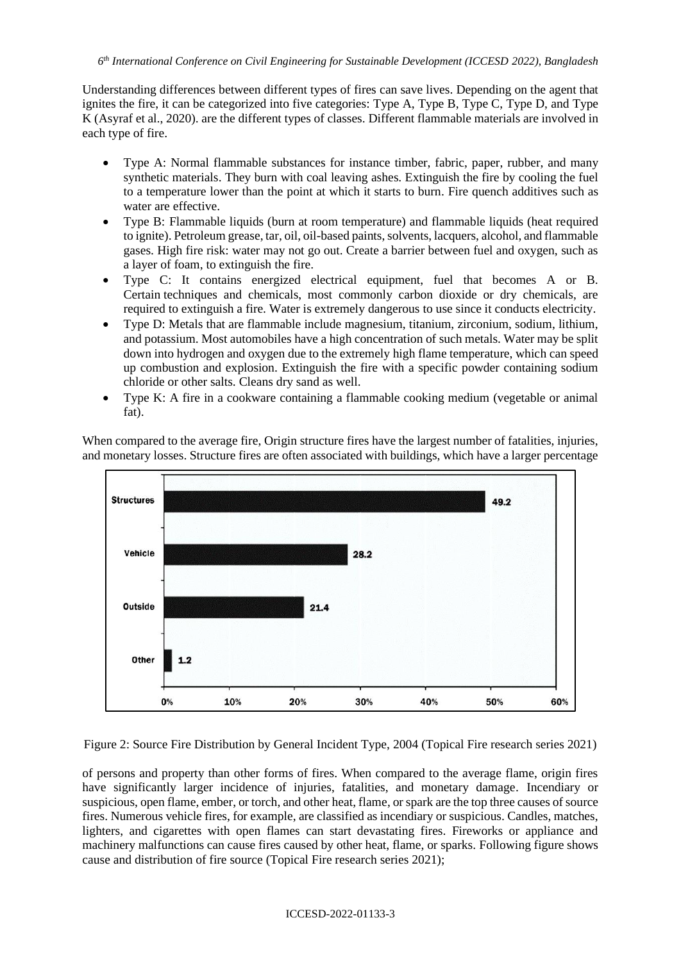Understanding differences between different types of fires can save lives. Depending on the agent that ignites the fire, it can be categorized into five categories: Type A, Type B, Type C, Type D, and Type K (Asyraf et al., 2020). are the different types of classes. Different flammable materials are involved in each type of fire.

- Type A: Normal flammable substances for instance timber, fabric, paper, rubber, and many synthetic materials. They burn with coal leaving ashes. Extinguish the fire by cooling the fuel to a temperature lower than the point at which it starts to burn. Fire quench additives such as water are effective.
- Type B: Flammable liquids (burn at room temperature) and flammable liquids (heat required to ignite). Petroleum grease, tar, oil, oil-based paints, solvents, lacquers, alcohol, and flammable gases. High fire risk: water may not go out. Create a barrier between fuel and oxygen, such as a layer of foam, to extinguish the fire.
- Type C: It contains energized electrical equipment, fuel that becomes A or B. Certain techniques and chemicals, most commonly carbon dioxide or dry chemicals, are required to extinguish a fire. Water is extremely dangerous to use since it conducts electricity.
- Type D: Metals that are flammable include magnesium, titanium, zirconium, sodium, lithium, and potassium. Most automobiles have a high concentration of such metals. Water may be split down into hydrogen and oxygen due to the extremely high flame temperature, which can speed up combustion and explosion. Extinguish the fire with a specific powder containing sodium chloride or other salts. Cleans dry sand as well.
- Type K: A fire in a cookware containing a flammable cooking medium (vegetable or animal fat).



When compared to the average fire, Origin structure fires have the largest number of fatalities, injuries, and monetary losses. Structure fires are often associated with buildings, which have a larger percentage

Figure 2: Source Fire Distribution by General Incident Type, 2004 (Topical Fire research series 2021)

of persons and property than other forms of fires. When compared to the average flame, origin fires have significantly larger incidence of injuries, fatalities, and monetary damage. Incendiary or suspicious, open flame, ember, or torch, and other heat, flame, or spark are the top three causes of source fires. Numerous vehicle fires, for example, are classified as incendiary or suspicious. Candles, matches, lighters, and cigarettes with open flames can start devastating fires. Fireworks or appliance and machinery malfunctions can cause fires caused by other heat, flame, or sparks. Following figure shows cause and distribution of fire source (Topical Fire research series 2021);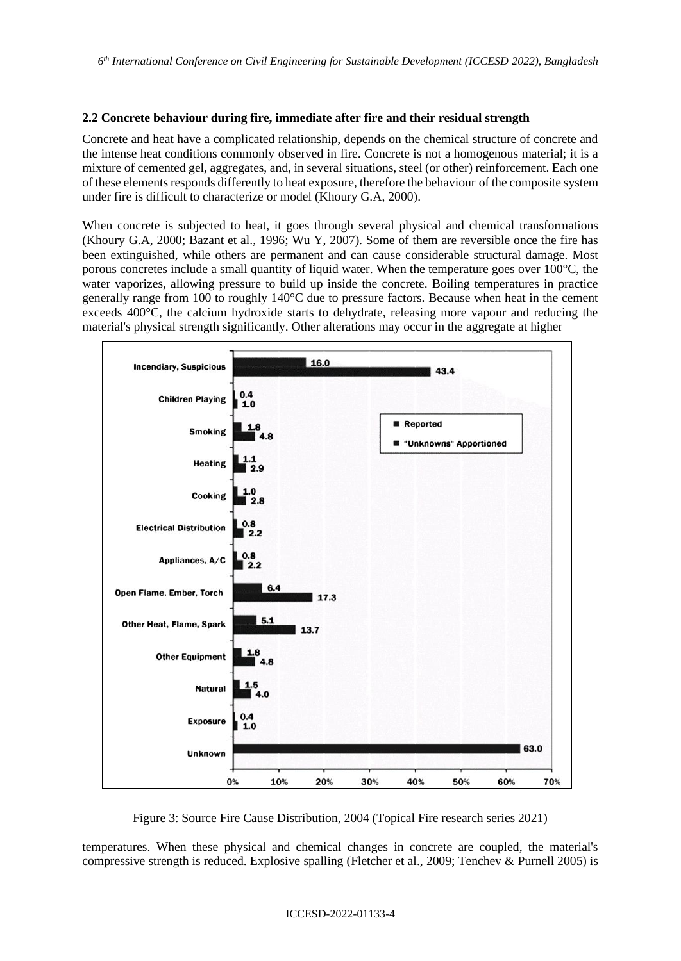#### **2.2 Concrete behaviour during fire, immediate after fire and their residual strength**

Concrete and heat have a complicated relationship, depends on the chemical structure of concrete and the intense heat conditions commonly observed in fire. Concrete is not a homogenous material; it is a mixture of cemented gel, aggregates, and, in several situations, steel (or other) reinforcement. Each one of these elements responds differently to heat exposure, therefore the behaviour of the composite system under fire is difficult to characterize or model (Khoury G.A, 2000).

When concrete is subjected to heat, it goes through several physical and chemical transformations (Khoury G.A, 2000; Bazant et al., 1996; Wu Y, 2007). Some of them are reversible once the fire has been extinguished, while others are permanent and can cause considerable structural damage. Most porous concretes include a small quantity of liquid water. When the temperature goes over 100°C, the water vaporizes, allowing pressure to build up inside the concrete. Boiling temperatures in practice generally range from 100 to roughly 140°C due to pressure factors. Because when heat in the cement exceeds 400°C, the calcium hydroxide starts to dehydrate, releasing more vapour and reducing the material's physical strength significantly. Other alterations may occur in the aggregate at higher



Figure 3: Source Fire Cause Distribution, 2004 (Topical Fire research series 2021)

temperatures. When these physical and chemical changes in concrete are coupled, the material's compressive strength is reduced. Explosive spalling (Fletcher et al., 2009; Tenchev & Purnell 2005) is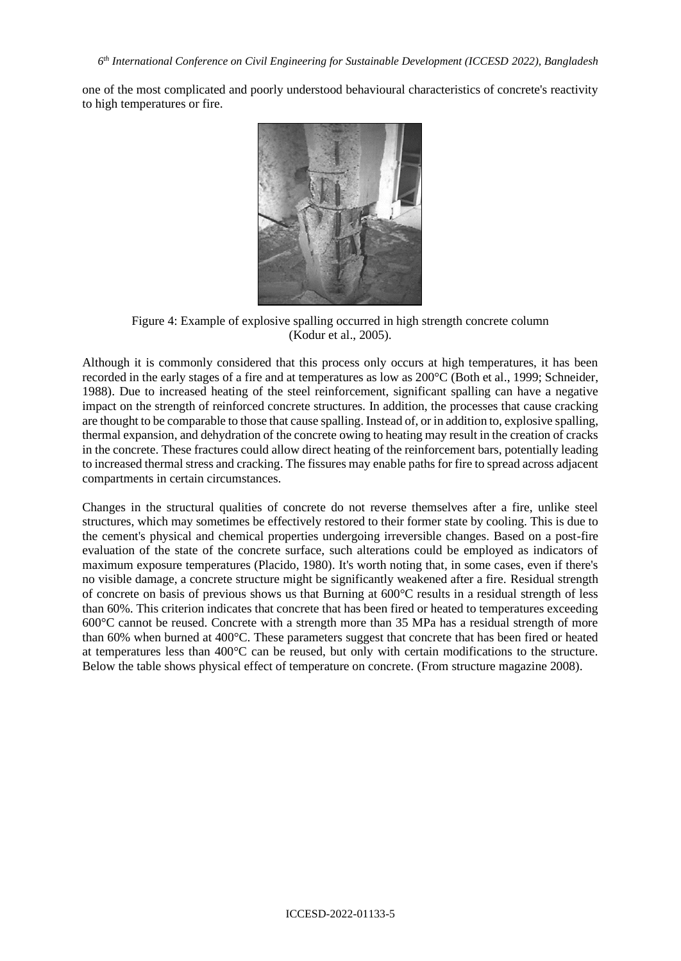one of the most complicated and poorly understood behavioural characteristics of concrete's reactivity to high temperatures or fire.



Figure 4: Example of explosive spalling occurred in high strength concrete column (Kodur et al., 2005).

Although it is commonly considered that this process only occurs at high temperatures, it has been recorded in the early stages of a fire and at temperatures as low as 200°C (Both et al., 1999; Schneider, 1988). Due to increased heating of the steel reinforcement, significant spalling can have a negative impact on the strength of reinforced concrete structures. In addition, the processes that cause cracking are thought to be comparable to those that cause spalling. Instead of, or in addition to, explosive spalling, thermal expansion, and dehydration of the concrete owing to heating may result in the creation of cracks in the concrete. These fractures could allow direct heating of the reinforcement bars, potentially leading to increased thermal stress and cracking. The fissures may enable paths for fire to spread across adjacent compartments in certain circumstances.

Changes in the structural qualities of concrete do not reverse themselves after a fire, unlike steel structures, which may sometimes be effectively restored to their former state by cooling. This is due to the cement's physical and chemical properties undergoing irreversible changes. Based on a post-fire evaluation of the state of the concrete surface, such alterations could be employed as indicators of maximum exposure temperatures (Placido, 1980). It's worth noting that, in some cases, even if there's no visible damage, a concrete structure might be significantly weakened after a fire. Residual strength of concrete on basis of previous shows us that Burning at 600°C results in a residual strength of less than 60%. This criterion indicates that concrete that has been fired or heated to temperatures exceeding 600°C cannot be reused. Concrete with a strength more than 35 MPa has a residual strength of more than 60% when burned at 400°C. These parameters suggest that concrete that has been fired or heated at temperatures less than 400°C can be reused, but only with certain modifications to the structure. Below the table shows physical effect of temperature on concrete. (From structure magazine 2008).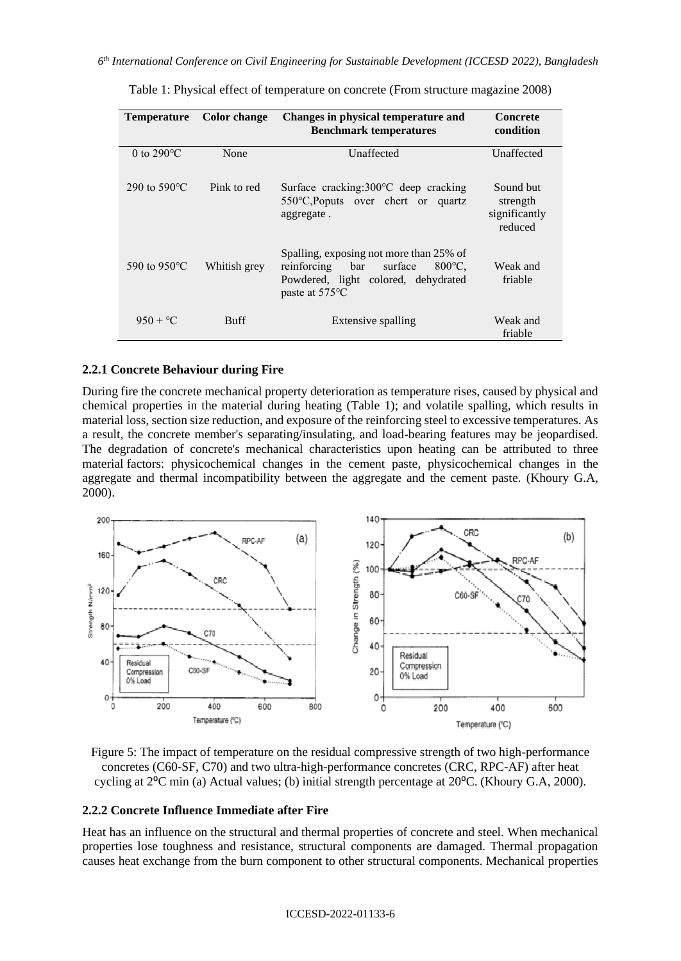*6 th International Conference on Civil Engineering for Sustainable Development (ICCESD 2022), Bangladesh*

| <b>Temperature</b>   | <b>Color change</b> | Changes in physical temperature and<br><b>Benchmark temperatures</b>                                                                                            | <b>Concrete</b><br>condition                      |
|----------------------|---------------------|-----------------------------------------------------------------------------------------------------------------------------------------------------------------|---------------------------------------------------|
| 0 to $290^{\circ}$ C | None                | Unaffected                                                                                                                                                      | Unaffected                                        |
| 290 to 590 °C        | Pink to red         | Surface cracking: $300^{\circ}$ C deep cracking<br>$550^{\circ}$ C, Poputs over chert or quartz<br>aggregate.                                                   | Sound but<br>strength<br>significantly<br>reduced |
| 590 to 950 °C        | Whitish grey        | Spalling, exposing not more than 25% of<br>$800^{\circ}$ C,<br>reinforcing bar<br>surface<br>Powdered, light colored, dehydrated<br>paste at 575 <sup>o</sup> C | Weak and<br>friable                               |
| $950 + °C$           | <b>Buff</b>         | Extensive spalling                                                                                                                                              | Weak and<br>friable                               |

Table 1: Physical effect of temperature on concrete (From structure magazine 2008)

### **2.2.1 Concrete Behaviour during Fire**

During fire the concrete mechanical property deterioration as temperature rises, caused by physical and chemical properties in the material during heating (Table 1); and volatile spalling, which results in material loss, section size reduction, and exposure of the reinforcing steel to excessive temperatures. As a result, the concrete member's separating/insulating, and load-bearing features may be jeopardised. The degradation of concrete's mechanical characteristics upon heating can be attributed to three material factors: physicochemical changes in the cement paste, physicochemical changes in the aggregate and thermal incompatibility between the aggregate and the cement paste. (Khoury G.A, 2000).



Figure 5: The impact of temperature on the residual compressive strength of two high-performance concretes (C60-SF, C70) and two ultra-high-performance concretes (CRC, RPC-AF) after heat cycling at  $2^{\circ}$ C min (a) Actual values; (b) initial strength percentage at  $20^{\circ}$ C. (Khoury G.A, 2000).

### **2.2.2 Concrete Influence Immediate after Fire**

Heat has an influence on the structural and thermal properties of concrete and steel. When mechanical properties lose toughness and resistance, structural components are damaged. Thermal propagation causes heat exchange from the burn component to other structural components. Mechanical properties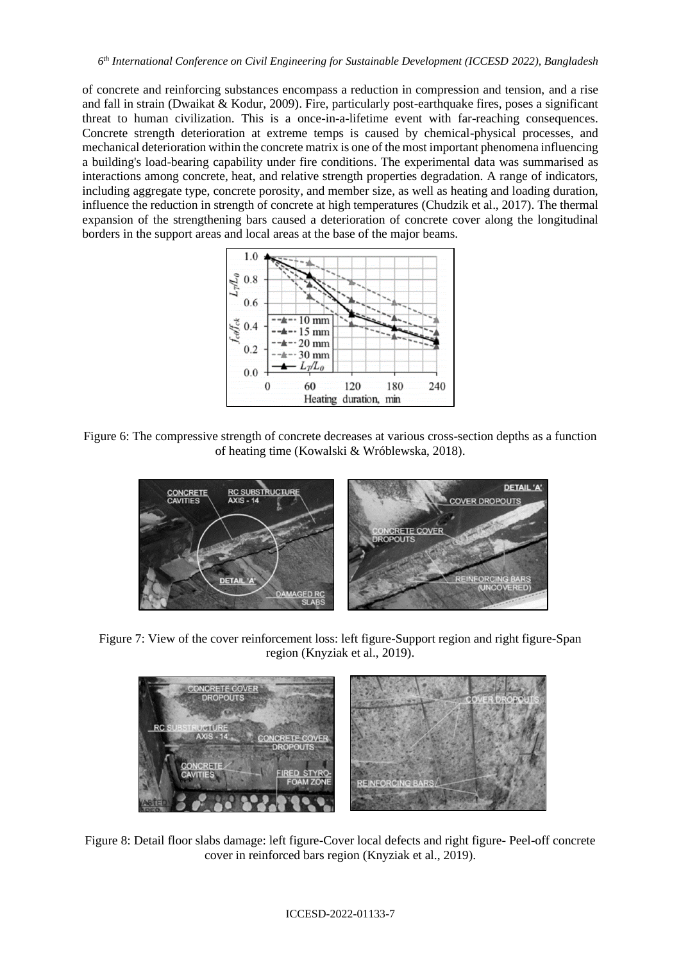of concrete and reinforcing substances encompass a reduction in compression and tension, and a rise and fall in strain (Dwaikat & Kodur, 2009). Fire, particularly post-earthquake fires, poses a significant threat to human civilization. This is a once-in-a-lifetime event with far-reaching consequences. Concrete strength deterioration at extreme temps is caused by chemical-physical processes, and mechanical deterioration within the concrete matrix is one of the most important phenomena influencing a building's load-bearing capability under fire conditions. The experimental data was summarised as interactions among concrete, heat, and relative strength properties degradation. A range of indicators, including aggregate type, concrete porosity, and member size, as well as heating and loading duration, influence the reduction in strength of concrete at high temperatures (Chudzik et al., 2017). The thermal expansion of the strengthening bars caused a deterioration of concrete cover along the longitudinal borders in the support areas and local areas at the base of the major beams.



Figure 6: The compressive strength of concrete decreases at various cross-section depths as a function of heating time (Kowalski & Wróblewska, 2018).



Figure 7: View of the cover reinforcement loss: left figure-Support region and right figure-Span region (Knyziak et al., 2019).



Figure 8: Detail floor slabs damage: left figure-Cover local defects and right figure- Peel-off concrete cover in reinforced bars region (Knyziak et al., 2019).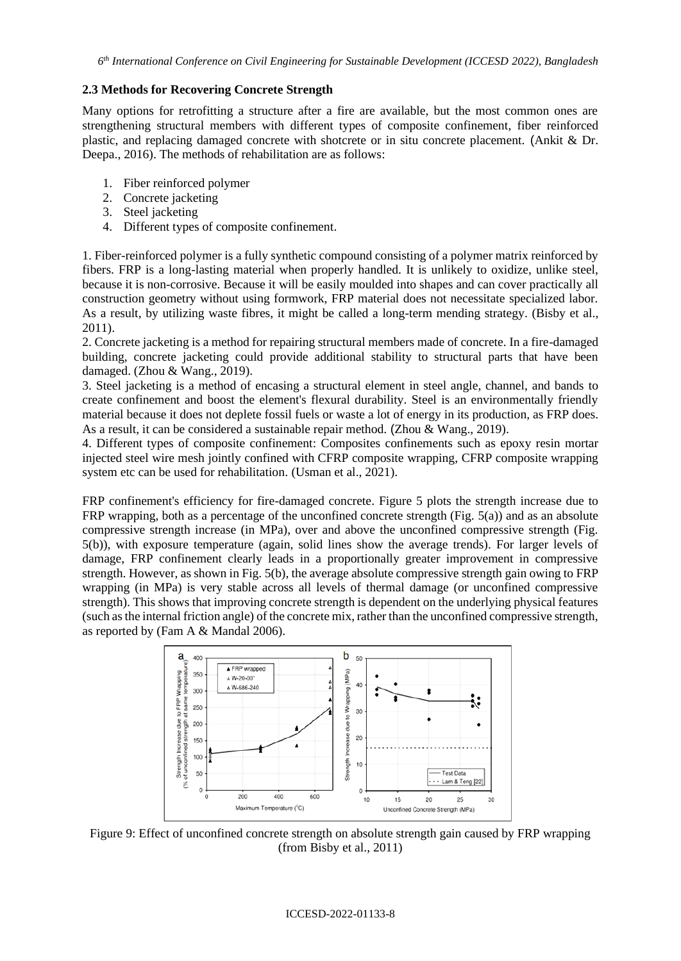### **2.3 Methods for Recovering Concrete Strength**

Many options for retrofitting a structure after a fire are available, but the most common ones are strengthening structural members with different types of composite confinement, fiber reinforced plastic, and replacing damaged concrete with shotcrete or in situ concrete placement. (Ankit & Dr. Deepa., 2016). The methods of rehabilitation are as follows:

- 1. Fiber reinforced polymer
- 2. Concrete jacketing
- 3. Steel jacketing
- 4. Different types of composite confinement.

1. Fiber-reinforced polymer is a fully synthetic compound consisting of a polymer matrix reinforced by fibers. FRP is a long-lasting material when properly handled. It is unlikely to oxidize, unlike steel, because it is non-corrosive. Because it will be easily moulded into shapes and can cover practically all construction geometry without using formwork, FRP material does not necessitate specialized labor. As a result, by utilizing waste fibres, it might be called a long-term mending strategy. (Bisby et al., 2011).

2. Concrete jacketing is a method for repairing structural members made of concrete. In a fire-damaged building, concrete jacketing could provide additional stability to structural parts that have been damaged. (Zhou & Wang., 2019).

3. Steel jacketing is a method of encasing a structural element in steel angle, channel, and bands to create confinement and boost the element's flexural durability. Steel is an environmentally friendly material because it does not deplete fossil fuels or waste a lot of energy in its production, as FRP does. As a result, it can be considered a sustainable repair method. (Zhou & Wang., 2019).

4. Different types of composite confinement: Composites confinements such as epoxy resin mortar injected steel wire mesh jointly confined with CFRP composite wrapping, CFRP composite wrapping system etc can be used for rehabilitation. (Usman et al., 2021).

FRP confinement's efficiency for fire-damaged concrete. Figure 5 plots the strength increase due to FRP wrapping, both as a percentage of the unconfined concrete strength (Fig. 5(a)) and as an absolute compressive strength increase (in MPa), over and above the unconfined compressive strength (Fig. 5(b)), with exposure temperature (again, solid lines show the average trends). For larger levels of damage, FRP confinement clearly leads in a proportionally greater improvement in compressive strength. However, as shown in Fig. 5(b), the average absolute compressive strength gain owing to FRP wrapping (in MPa) is very stable across all levels of thermal damage (or unconfined compressive strength). This shows that improving concrete strength is dependent on the underlying physical features (such as the internal friction angle) of the concrete mix, rather than the unconfined compressive strength, as reported by (Fam A & Mandal 2006).



Figure 9: Effect of unconfined concrete strength on absolute strength gain caused by FRP wrapping (from Bisby et al., 2011)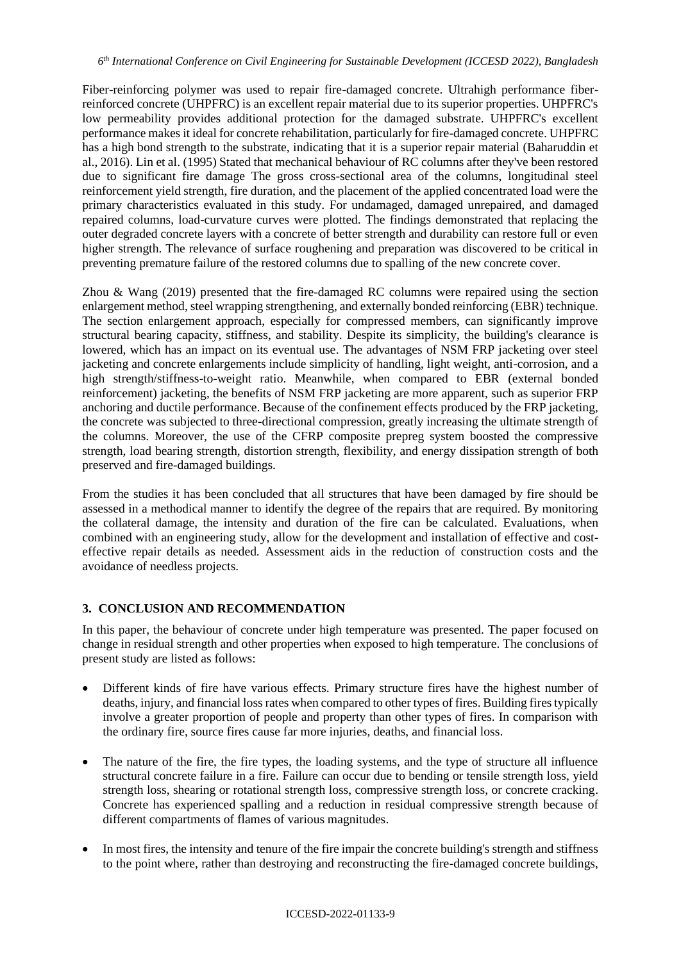Fiber-reinforcing polymer was used to repair fire-damaged concrete. Ultrahigh performance fiberreinforced concrete (UHPFRC) is an excellent repair material due to its superior properties. UHPFRC's low permeability provides additional protection for the damaged substrate. UHPFRC's excellent performance makes it ideal for concrete rehabilitation, particularly for fire-damaged concrete. UHPFRC has a high bond strength to the substrate, indicating that it is a superior repair material (Baharuddin et al., 2016). Lin et al. (1995) Stated that mechanical behaviour of RC columns after they've been restored due to significant fire damage The gross cross-sectional area of the columns, longitudinal steel reinforcement yield strength, fire duration, and the placement of the applied concentrated load were the primary characteristics evaluated in this study. For undamaged, damaged unrepaired, and damaged repaired columns, load-curvature curves were plotted. The findings demonstrated that replacing the outer degraded concrete layers with a concrete of better strength and durability can restore full or even higher strength. The relevance of surface roughening and preparation was discovered to be critical in preventing premature failure of the restored columns due to spalling of the new concrete cover.

Zhou & Wang (2019) presented that the fire-damaged RC columns were repaired using the section enlargement method, steel wrapping strengthening, and externally bonded reinforcing (EBR) technique. The section enlargement approach, especially for compressed members, can significantly improve structural bearing capacity, stiffness, and stability. Despite its simplicity, the building's clearance is lowered, which has an impact on its eventual use. The advantages of NSM FRP jacketing over steel jacketing and concrete enlargements include simplicity of handling, light weight, anti-corrosion, and a high strength/stiffness-to-weight ratio. Meanwhile, when compared to EBR (external bonded reinforcement) jacketing, the benefits of NSM FRP jacketing are more apparent, such as superior FRP anchoring and ductile performance. Because of the confinement effects produced by the FRP jacketing, the concrete was subjected to three-directional compression, greatly increasing the ultimate strength of the columns. Moreover, the use of the CFRP composite prepreg system boosted the compressive strength, load bearing strength, distortion strength, flexibility, and energy dissipation strength of both preserved and fire-damaged buildings.

From the studies it has been concluded that all structures that have been damaged by fire should be assessed in a methodical manner to identify the degree of the repairs that are required. By monitoring the collateral damage, the intensity and duration of the fire can be calculated. Evaluations, when combined with an engineering study, allow for the development and installation of effective and costeffective repair details as needed. Assessment aids in the reduction of construction costs and the avoidance of needless projects.

# **3. CONCLUSION AND RECOMMENDATION**

In this paper, the behaviour of concrete under high temperature was presented. The paper focused on change in residual strength and other properties when exposed to high temperature. The conclusions of present study are listed as follows:

- Different kinds of fire have various effects. Primary structure fires have the highest number of deaths, injury, and financial loss rates when compared to other types of fires. Building fires typically involve a greater proportion of people and property than other types of fires. In comparison with the ordinary fire, source fires cause far more injuries, deaths, and financial loss.
- The nature of the fire, the fire types, the loading systems, and the type of structure all influence structural concrete failure in a fire. Failure can occur due to bending or tensile strength loss, yield strength loss, shearing or rotational strength loss, compressive strength loss, or concrete cracking. Concrete has experienced spalling and a reduction in residual compressive strength because of different compartments of flames of various magnitudes.
- In most fires, the intensity and tenure of the fire impair the concrete building's strength and stiffness to the point where, rather than destroying and reconstructing the fire-damaged concrete buildings,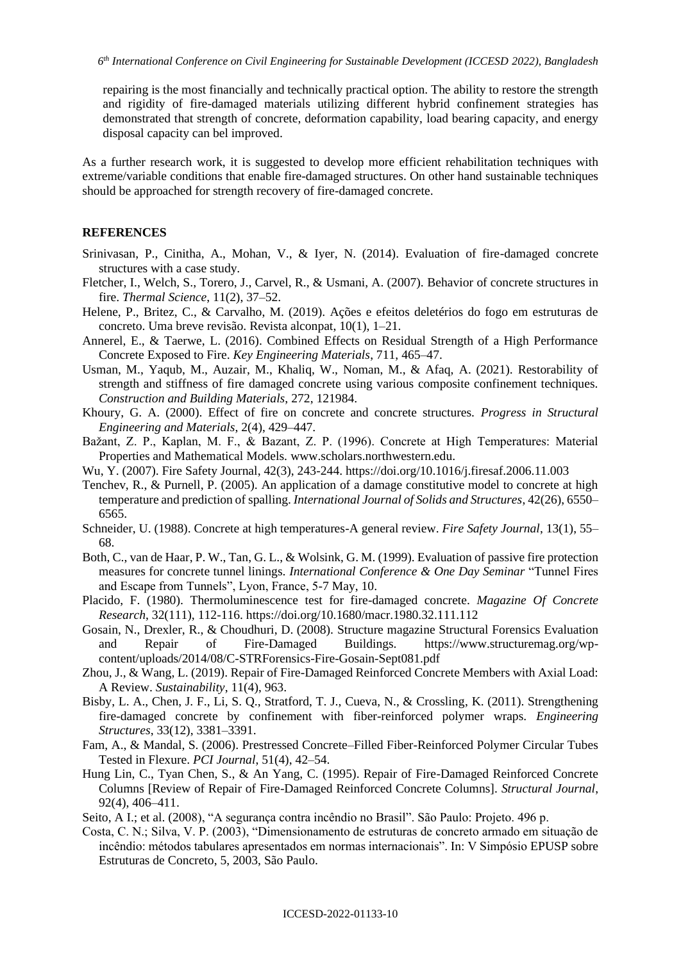repairing is the most financially and technically practical option. The ability to restore the strength and rigidity of fire-damaged materials utilizing different hybrid confinement strategies has demonstrated that strength of concrete, deformation capability, load bearing capacity, and energy disposal capacity can bel improved.

As a further research work, it is suggested to develop more efficient rehabilitation techniques with extreme/variable conditions that enable fire-damaged structures. On other hand sustainable techniques should be approached for strength recovery of fire-damaged concrete.

#### **REFERENCES**

- Srinivasan, P., Cinitha, A., Mohan, V., & Iyer, N. (2014). Evaluation of fire-damaged concrete structures with a case study.
- Fletcher, I., Welch, S., Torero, J., Carvel, R., & Usmani, A. (2007). Behavior of concrete structures in fire. *Thermal Science*, 11(2), 37–52.
- Helene, P., Britez, C., & Carvalho, M. (2019). Ações e efeitos deletérios do fogo em estruturas de concreto. Uma breve revisão. Revista alconpat, 10(1), 1–21.
- Annerel, E., & Taerwe, L. (2016). Combined Effects on Residual Strength of a High Performance Concrete Exposed to Fire. *Key Engineering Materials*, 711, 465–47.
- Usman, M., Yaqub, M., Auzair, M., Khaliq, W., Noman, M., & Afaq, A. (2021). Restorability of strength and stiffness of fire damaged concrete using various composite confinement techniques. *Construction and Building Materials*, 272, 121984.
- Khoury, G. A. (2000). Effect of fire on concrete and concrete structures. *Progress in Structural Engineering and Materials*, 2(4), 429–447.
- Bažant, Z. P., Kaplan, M. F., & Bazant, Z. P. (1996). Concrete at High Temperatures: Material Properties and Mathematical Models. [www.scholars.northwestern.edu.](http://www.scholars.northwestern.edu/)
- Wu, Y. (2007). Fire Safety Journal, 42(3), 243-244. https://doi.org/10.1016/j.firesaf.2006.11.003
- Tenchev, R., & Purnell, P. (2005). An application of a damage constitutive model to concrete at high temperature and prediction of spalling. *International Journal of Solids and Structures*, 42(26), 6550– 6565.
- Schneider, U. (1988). Concrete at high temperatures-A general review. *Fire Safety Journal*, 13(1), 55– 68.
- Both, C., van de Haar, P. W., Tan, G. L., & Wolsink, G. M. (1999). Evaluation of passive fire protection measures for concrete tunnel linings. *International Conference & One Day Seminar* "Tunnel Fires and Escape from Tunnels", Lyon, France, 5-7 May, 10.
- Placido, F. (1980). Thermoluminescence test for fire-damaged concrete. *Magazine Of Concrete Research*, 32(111), 112-116.<https://doi.org/10.1680/macr.1980.32.111.112>
- Gosain, N., Drexler, R., & Choudhuri, D. (2008). Structure magazine Structural Forensics Evaluation and Repair of Fire-Damaged Buildings. [https://www.structuremag.org/wp](https://www.structuremag.org/wp-content/uploads/2014/08/C-STRForensics-Fire-Gosain-Sept081.pdf)[content/uploads/2014/08/C-STRForensics-Fire-Gosain-Sept081.pdf](https://www.structuremag.org/wp-content/uploads/2014/08/C-STRForensics-Fire-Gosain-Sept081.pdf)
- Zhou, J., & Wang, L. (2019). Repair of Fire-Damaged Reinforced Concrete Members with Axial Load: A Review. *Sustainability*, 11(4), 963.
- Bisby, L. A., Chen, J. F., Li, S. Q., Stratford, T. J., Cueva, N., & Crossling, K. (2011). Strengthening fire-damaged concrete by confinement with fiber-reinforced polymer wraps. *Engineering Structures*, 33(12), 3381–3391.
- Fam, A., & Mandal, S. (2006). Prestressed Concrete–Filled Fiber-Reinforced Polymer Circular Tubes Tested in Flexure. *PCI Journal*, 51(4), 42–54.
- Hung Lin, C., Tyan Chen, S., & An Yang, C. (1995). Repair of Fire-Damaged Reinforced Concrete Columns [Review of Repair of Fire-Damaged Reinforced Concrete Columns]. *Structural Journal*, 92(4), 406–411.

Seito, A I.; et al. (2008), "A segurança contra incêndio no Brasil". São Paulo: Projeto. 496 p.

Costa, C. N.; Silva, V. P. (2003), "Dimensionamento de estruturas de concreto armado em situação de incêndio: métodos tabulares apresentados em normas internacionais". In: V Simpósio EPUSP sobre Estruturas de Concreto, 5, 2003, São Paulo.